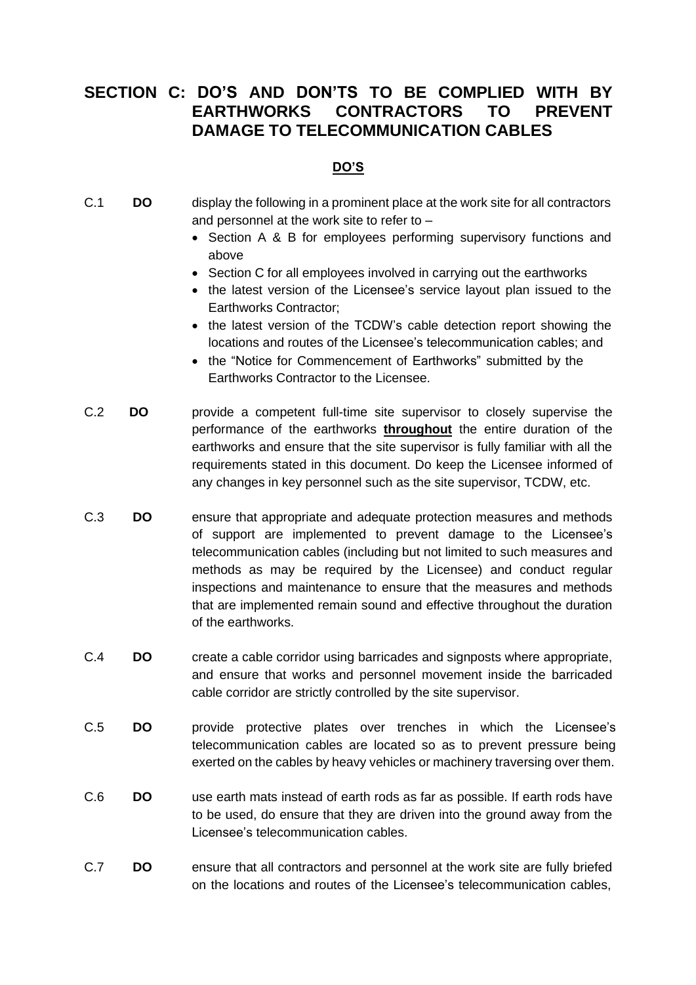## **SECTION C: DO'S AND DON'TS TO BE COMPLIED WITH BY EARTHWORKS CONTRACTORS TO PREVENT DAMAGE TO TELECOMMUNICATION CABLES**

## **DO'S**

- C.1 **DO** display the following in a prominent place at the work site for all contractors and personnel at the work site to refer to  $-$ 
	- Section A & B for employees performing supervisory functions and above
	- Section C for all employees involved in carrying out the earthworks
	- the latest version of the Licensee's service layout plan issued to the Earthworks Contractor;
	- the latest version of the TCDW's cable detection report showing the locations and routes of the Licensee's telecommunication cables; and
	- the "Notice for Commencement of Earthworks" submitted by the Earthworks Contractor to the Licensee.
- C.2 **DO** provide a competent full-time site supervisor to closely supervise the performance of the earthworks **throughout** the entire duration of the earthworks and ensure that the site supervisor is fully familiar with all the requirements stated in this document. Do keep the Licensee informed of any changes in key personnel such as the site supervisor, TCDW, etc.
- C.3 **DO** ensure that appropriate and adequate protection measures and methods of support are implemented to prevent damage to the Licensee's telecommunication cables (including but not limited to such measures and methods as may be required by the Licensee) and conduct regular inspections and maintenance to ensure that the measures and methods that are implemented remain sound and effective throughout the duration of the earthworks.
- C.4 **DO** create a cable corridor using barricades and signposts where appropriate, and ensure that works and personnel movement inside the barricaded cable corridor are strictly controlled by the site supervisor.
- C.5 **DO** provide protective plates over trenches in which the Licensee's telecommunication cables are located so as to prevent pressure being exerted on the cables by heavy vehicles or machinery traversing over them.
- C.6 **DO** use earth mats instead of earth rods as far as possible. If earth rods have to be used, do ensure that they are driven into the ground away from the Licensee's telecommunication cables.
- C.7 **DO** ensure that all contractors and personnel at the work site are fully briefed on the locations and routes of the Licensee's telecommunication cables,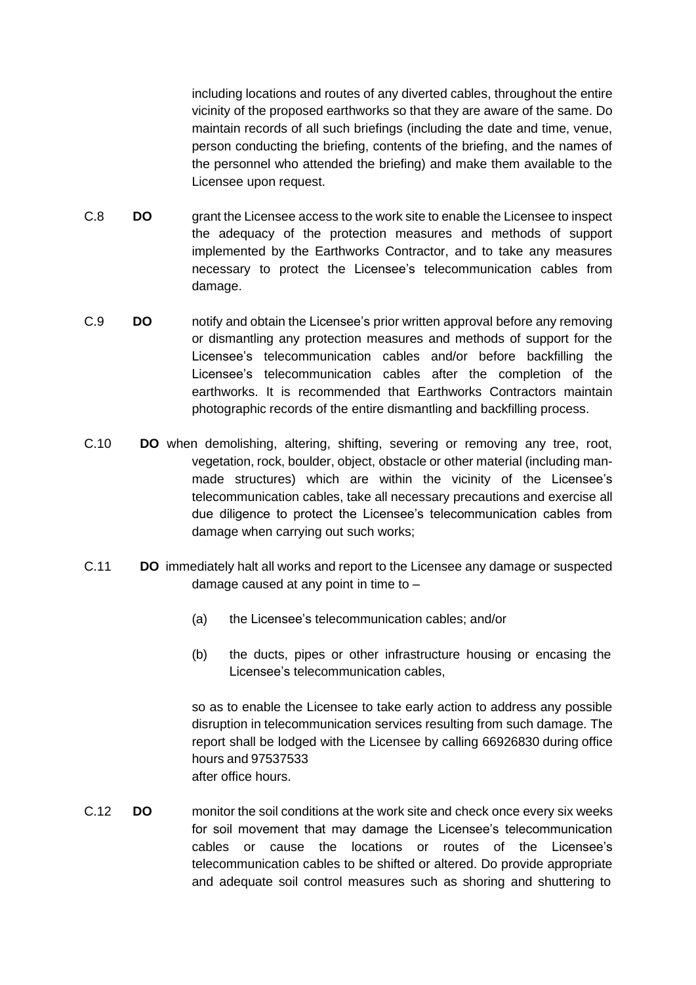including locations and routes of any diverted cables, throughout the entire vicinity of the proposed earthworks so that they are aware of the same. Do maintain records of all such briefings (including the date and time, venue, person conducting the briefing, contents of the briefing, and the names of the personnel who attended the briefing) and make them available to the Licensee upon request.

- C.8 **DO** grant the Licensee access to the work site to enable the Licensee to inspect the adequacy of the protection measures and methods of support implemented by the Earthworks Contractor, and to take any measures necessary to protect the Licensee's telecommunication cables from damage.
- C.9 **DO** notify and obtain the Licensee's prior written approval before any removing or dismantling any protection measures and methods of support for the Licensee's telecommunication cables and/or before backfilling the Licensee's telecommunication cables after the completion of the earthworks. It is recommended that Earthworks Contractors maintain photographic records of the entire dismantling and backfilling process.
- C.10 **DO** when demolishing, altering, shifting, severing or removing any tree, root, vegetation, rock, boulder, object, obstacle or other material (including manmade structures) which are within the vicinity of the Licensee's telecommunication cables, take all necessary precautions and exercise all due diligence to protect the Licensee's telecommunication cables from damage when carrying out such works;
- C.11 **DO** immediately halt all works and report to the Licensee any damage or suspected damage caused at any point in time to –
	- (a) the Licensee's telecommunication cables; and/or
	- (b) the ducts, pipes or other infrastructure housing or encasing the Licensee's telecommunication cables,

so as to enable the Licensee to take early action to address any possible disruption in telecommunication services resulting from such damage. The report shall be lodged with the Licensee by calling 66926830 during office hours and 97537533 after office hours.

C.12 **DO** monitor the soil conditions at the work site and check once every six weeks for soil movement that may damage the Licensee's telecommunication cables or cause the locations or routes of the Licensee's telecommunication cables to be shifted or altered. Do provide appropriate and adequate soil control measures such as shoring and shuttering to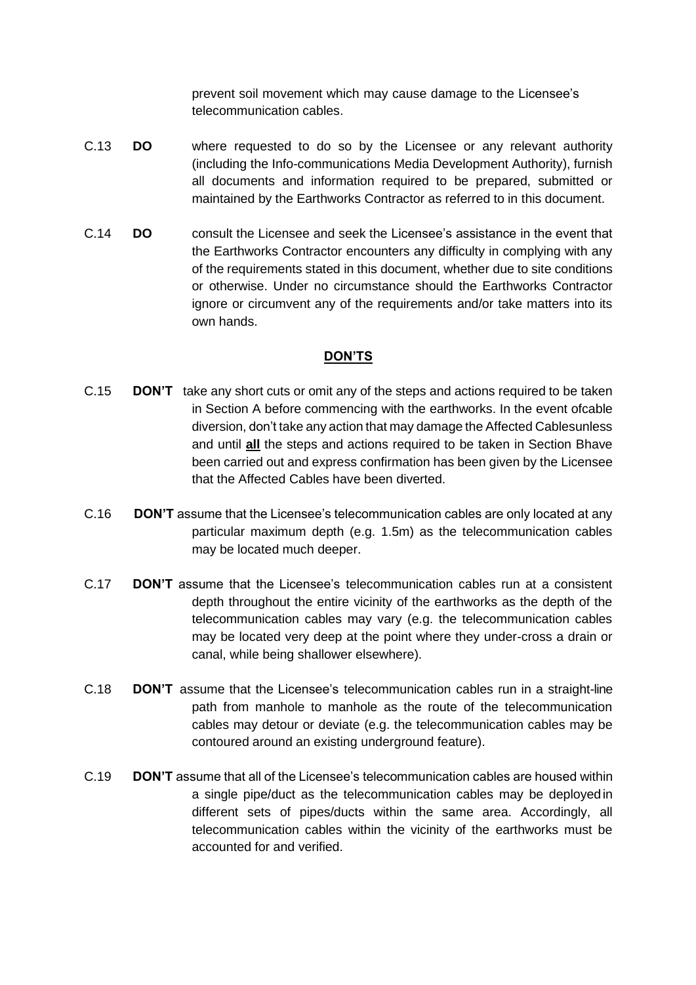prevent soil movement which may cause damage to the Licensee's telecommunication cables.

- C.13 **DO** where requested to do so by the Licensee or any relevant authority (including the Info-communications Media Development Authority), furnish all documents and information required to be prepared, submitted or maintained by the Earthworks Contractor as referred to in this document.
- C.14 **DO** consult the Licensee and seek the Licensee's assistance in the event that the Earthworks Contractor encounters any difficulty in complying with any of the requirements stated in this document, whether due to site conditions or otherwise. Under no circumstance should the Earthworks Contractor ignore or circumvent any of the requirements and/or take matters into its own hands.

## **DON'TS**

- C.15 **DON'T** take any short cuts or omit any of the steps and actions required to be taken in Section A before commencing with the earthworks. In the event ofcable diversion, don't take any action that may damage the Affected Cablesunless and until **all** the steps and actions required to be taken in Section Bhave been carried out and express confirmation has been given by the Licensee that the Affected Cables have been diverted.
- C.16 **DON'T** assume that the Licensee's telecommunication cables are only located at any particular maximum depth (e.g. 1.5m) as the telecommunication cables may be located much deeper.
- C.17 **DON'T** assume that the Licensee's telecommunication cables run at a consistent depth throughout the entire vicinity of the earthworks as the depth of the telecommunication cables may vary (e.g. the telecommunication cables may be located very deep at the point where they under-cross a drain or canal, while being shallower elsewhere).
- C.18 **DON'T** assume that the Licensee's telecommunication cables run in a straight-line path from manhole to manhole as the route of the telecommunication cables may detour or deviate (e.g. the telecommunication cables may be contoured around an existing underground feature).
- C.19 **DON'T** assume that all of the Licensee's telecommunication cables are housed within a single pipe/duct as the telecommunication cables may be deployedin different sets of pipes/ducts within the same area. Accordingly, all telecommunication cables within the vicinity of the earthworks must be accounted for and verified.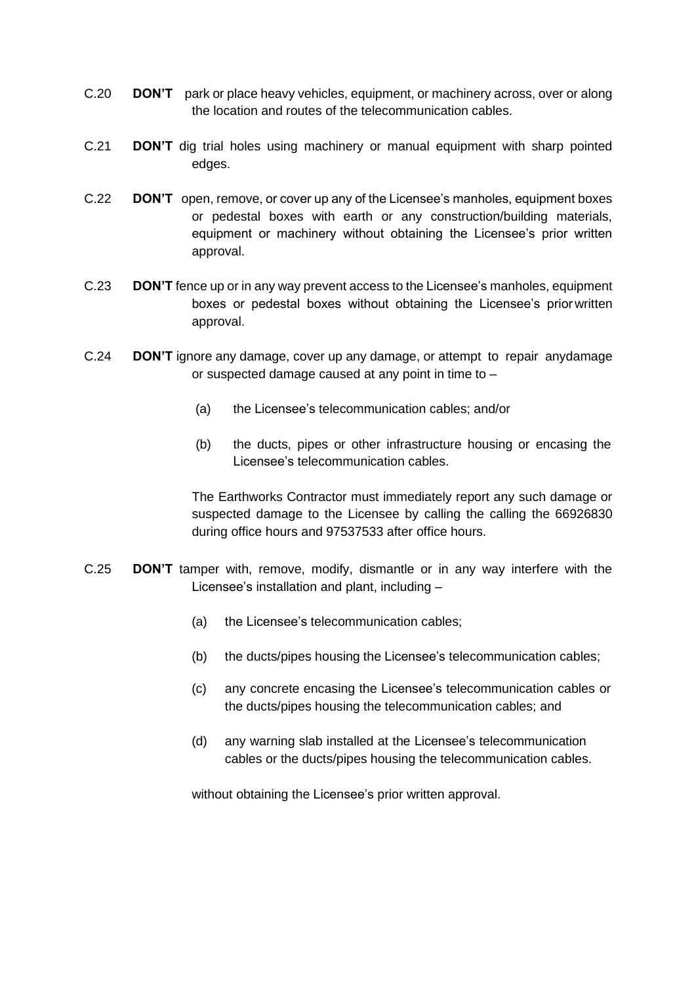- C.20 **DON'T** park or place heavy vehicles, equipment, or machinery across, over or along the location and routes of the telecommunication cables.
- C.21 **DON'T** dig trial holes using machinery or manual equipment with sharp pointed edges.
- C.22 **DON'T** open, remove, or cover up any of the Licensee's manholes, equipment boxes or pedestal boxes with earth or any construction/building materials, equipment or machinery without obtaining the Licensee's prior written approval.
- C.23 **DON'T** fence up or in any way prevent access to the Licensee's manholes, equipment boxes or pedestal boxes without obtaining the Licensee's prior written approval.
- C.24 **DON'T** ignore any damage, cover up any damage, or attempt to repair anydamage or suspected damage caused at any point in time to –
	- (a) the Licensee's telecommunication cables; and/or
	- (b) the ducts, pipes or other infrastructure housing or encasing the Licensee's telecommunication cables.

The Earthworks Contractor must immediately report any such damage or suspected damage to the Licensee by calling the calling the 66926830 during office hours and 97537533 after office hours.

- C.25 **DON'T** tamper with, remove, modify, dismantle or in any way interfere with the Licensee's installation and plant, including –
	- (a) the Licensee's telecommunication cables;
	- (b) the ducts/pipes housing the Licensee's telecommunication cables;
	- (c) any concrete encasing the Licensee's telecommunication cables or the ducts/pipes housing the telecommunication cables; and
	- (d) any warning slab installed at the Licensee's telecommunication cables or the ducts/pipes housing the telecommunication cables.

without obtaining the Licensee's prior written approval.